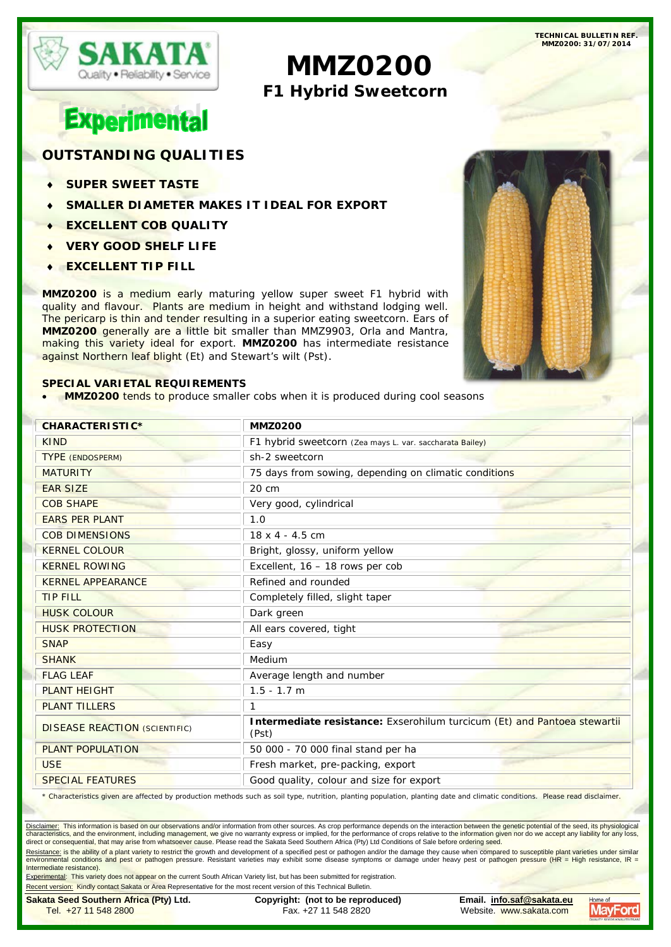

**TECHNICAL BULLETIN REF. MMZ0200: 31/07/2014**

# **MMZ0200 F1 Hybrid Sweetcorn**

# **Experimental**

# **OUTSTANDING QUALITIES**

- **SUPER SWEET TASTE**
- **SMALLER DIAMETER MAKES IT IDEAL FOR EXPORT**
- **EXCELLENT COB QUALITY**
- **VERY GOOD SHELF LIFE**
- **EXCELLENT TIP FILL**

**MMZ0200** is a medium early maturing yellow super sweet F1 hybrid with quality and flavour. Plants are medium in height and withstand lodging well. The pericarp is thin and tender resulting in a superior eating sweetcorn. Ears of **MMZ0200** generally are a little bit smaller than MMZ9903, Orla and Mantra, making this variety ideal for export. **MMZ0200** has intermediate resistance against Northern leaf blight (Et) and Stewart's wilt (Pst).

### **SPECIAL VARIETAL REQUIREMENTS**

• **MMZ0200** tends to produce smaller cobs when it is produced during cool seasons



| <b>CHARACTERISTIC*</b>               | <b>MMZ0200</b>                                                                    |
|--------------------------------------|-----------------------------------------------------------------------------------|
| <b>KIND</b>                          | F1 hybrid sweetcorn (Zea mays L. var. saccharata Bailey)                          |
| <b>TYPE (ENDOSPERM)</b>              | sh-2 sweetcorn                                                                    |
| <b>MATURITY</b>                      | 75 days from sowing, depending on climatic conditions                             |
| <b>EAR SIZE</b>                      | 20 cm                                                                             |
| <b>COB SHAPE</b>                     | Very good, cylindrical                                                            |
| <b>EARS PER PLANT</b>                | 1.0                                                                               |
| <b>COB DIMENSIONS</b>                | $18 \times 4 - 4.5$ cm                                                            |
| <b>KERNEL COLOUR</b>                 | Bright, glossy, uniform yellow                                                    |
| <b>KERNEL ROWING</b>                 | Excellent, 16 - 18 rows per cob                                                   |
| <b>KERNEL APPEARANCE</b>             | Refined and rounded                                                               |
| <b>TIP FILL</b>                      | Completely filled, slight taper                                                   |
| <b>HUSK COLOUR</b>                   | Dark green                                                                        |
| <b>HUSK PROTECTION</b>               | All ears covered, tight                                                           |
| <b>SNAP</b>                          | Easy                                                                              |
| <b>SHANK</b>                         | Medium                                                                            |
| <b>FLAG LEAF</b>                     | Average length and number                                                         |
| <b>PLANT HEIGHT</b>                  | $1.5 - 1.7$ m                                                                     |
| <b>PLANT TILLERS</b>                 |                                                                                   |
| <b>DISEASE REACTION (SCIENTIFIC)</b> | Intermediate resistance: Exserohilum turcicum (Et) and Pantoea stewartii<br>(Pst) |
| <b>PLANT POPULATION</b>              | 50 000 - 70 000 final stand per ha                                                |
| <b>USE</b>                           | Fresh market, pre-packing, export                                                 |
| <b>SPECIAL FEATURES</b>              | Good quality, colour and size for export                                          |

\* Characteristics given are affected by production methods such as soil type, nutrition, planting population, planting date and climatic conditions. Please read disclaimer.

Disclaimer: This information is based on our observations and/or information from other sources. As crop performance depends on the interaction between the genetic potential of the seed, its physiological characteristics, and the environment, including management, we give no warranty express or implied, for the performance of crops relative to the information given nor do we accept any liability for any loss, direct or consequential, that may arise from whatsoever cause. Please read the Sakata Seed Southern Africa (Pty) Ltd Conditions of Sale before ordering seed.

<u>Resistance:</u> is the ability of a plant variety to restrict the growth and development of a specified pest or pathogen and/or the damage they cause when compared to susceptible plant varieties under similar<br>environmental c Intermediate resistance).

Experimental: This variety does not appear on the current South African Variety list, but has been submitted for registration.

Recent version: Kindly contact Sakata or Area Representative for the most recent version of this Technical Bulletin